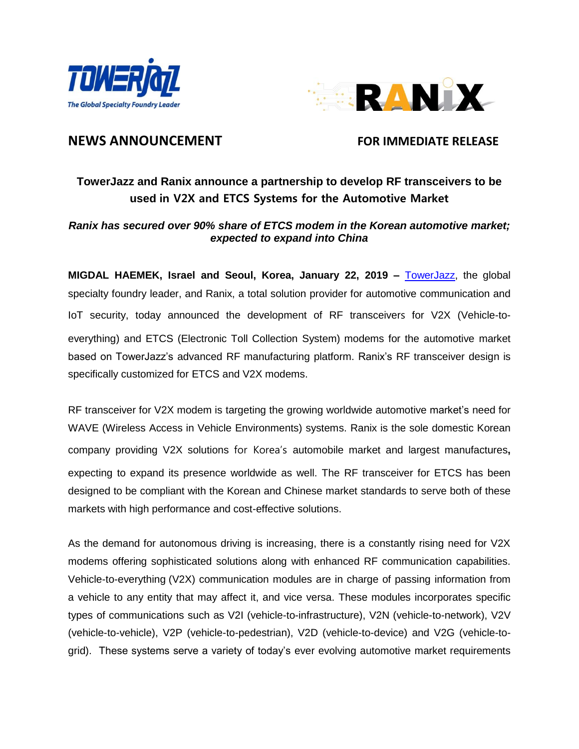



# **NEWS ANNOUNCEMENT FOR IMMEDIATE RELEASE**

# **TowerJazz and Ranix announce a partnership to develop RF transceivers to be used in V2X and ETCS Systems for the Automotive Market**

## *Ranix has secured over 90% share of ETCS modem in the Korean automotive market; expected to expand into China*

**MIGDAL HAEMEK, Israel and Seoul, Korea, January 22, 2019 –** [TowerJazz,](http://www.towerjazz.com/) the global specialty foundry leader, and Ranix, a total solution provider for automotive communication and IoT security, today announced the development of RF transceivers for V2X (Vehicle-toeverything) and ETCS (Electronic Toll Collection System) modems for the automotive market based on TowerJazz's advanced RF manufacturing platform. Ranix's RF transceiver design is specifically customized for ETCS and V2X modems.

RF transceiver for V2X modem is targeting the growing worldwide automotive market's need for WAVE (Wireless Access in Vehicle Environments) systems. Ranix is the sole domestic Korean company providing V2X solutions for Korea's automobile market and largest manufactures**,** expecting to expand its presence worldwide as well. The RF transceiver for ETCS has been designed to be compliant with the Korean and Chinese market standards to serve both of these markets with high performance and cost-effective solutions.

As the demand for autonomous driving is increasing, there is a constantly rising need for V2X modems offering sophisticated solutions along with enhanced RF communication capabilities. Vehicle-to-everything (V2X) communication modules are in charge of passing information from a vehicle to any entity that may affect it, and vice versa. These modules incorporates specific types of communications such as V2I (vehicle-to-infrastructure), V2N [\(vehicle-to-network\)](https://en.wikipedia.org/w/index.php?title=Vehicle-to-network&action=edit&redlink=1), V2V [\(vehicle-to-vehicle\)](https://en.wikipedia.org/wiki/Vehicular_ad-hoc_network), V2P (vehicle-to-pedestrian), V2D [\(vehicle-to-device\)](https://en.wikipedia.org/wiki/Vehicle-to-device) and V2G [\(vehicle-to](https://en.wikipedia.org/wiki/Vehicle-to-grid)[grid\)](https://en.wikipedia.org/wiki/Vehicle-to-grid). These systems serve a variety of today's ever evolving automotive market requirements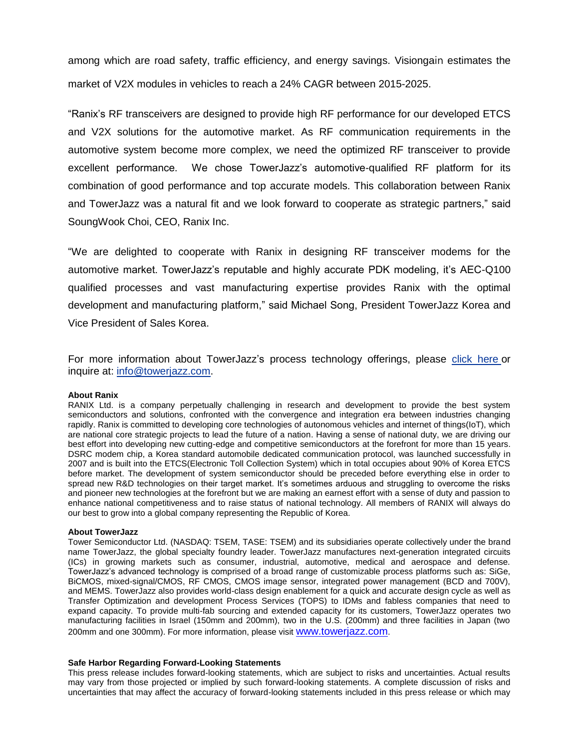among which are road safety, traffic efficiency, and energy savings. Visiongain estimates the market of V2X modules in vehicles to reach a 24% CAGR between 2015-2025.

"Ranix's RF transceivers are designed to provide high RF performance for our developed ETCS and V2X solutions for the automotive market. As RF communication requirements in the automotive system become more complex, we need the optimized RF transceiver to provide excellent performance. We chose TowerJazz's automotive-qualified RF platform for its combination of good performance and top accurate models. This collaboration between Ranix and TowerJazz was a natural fit and we look forward to cooperate as strategic partners," said SoungWook Choi, CEO, Ranix Inc.

"We are delighted to cooperate with Ranix in designing RF transceiver modems for the automotive market. TowerJazz's reputable and highly accurate PDK modeling, it's AEC-Q100 qualified processes and vast manufacturing expertise provides Ranix with the optimal development and manufacturing platform," said Michael Song, President TowerJazz Korea and Vice President of Sales Korea.

For more information about TowerJazz's process technology offerings, please [click here](https://towerjazz.com/technology/process-technology-offerings/) or inquire at: [info@towerjazz.com.](http://towerjazz.com/2018/08/21/0821-2/info@towerjazz.com)

### **About Ranix**

RANIX Ltd. is a company perpetually challenging in research and development to provide the best system semiconductors and solutions, confronted with the convergence and integration era between industries changing rapidly. Ranix is committed to developing core technologies of autonomous vehicles and internet of things(IoT), which are national core strategic projects to lead the future of a nation. Having a sense of national duty, we are driving our best effort into developing new cutting-edge and competitive semiconductors at the forefront for more than 15 years. DSRC modem chip, a Korea standard automobile dedicated communication protocol, was launched successfully in 2007 and is built into the ETCS(Electronic Toll Collection System) which in total occupies about 90% of Korea ETCS before market. The development of system semiconductor should be preceded before everything else in order to spread new R&D technologies on their target market. It's sometimes arduous and struggling to overcome the risks and pioneer new technologies at the forefront but we are making an earnest effort with a sense of duty and passion to enhance national competitiveness and to raise status of national technology. All members of RANIX will always do our best to grow into a global company representing the Republic of Korea.

## **About TowerJazz**

Tower Semiconductor Ltd. (NASDAQ: TSEM, TASE: TSEM) and its subsidiaries operate collectively under the brand name TowerJazz, the global specialty foundry leader. TowerJazz manufactures next-generation integrated circuits (ICs) in growing markets such as consumer, industrial, automotive, medical and aerospace and defense. TowerJazz's advanced technology is comprised of a broad range of customizable process platforms such as: SiGe, BiCMOS, mixed-signal/CMOS, RF CMOS, CMOS image sensor, integrated power management (BCD and 700V), and MEMS. TowerJazz also provides world-class design enablement for a quick and accurate design cycle as well as Transfer Optimization and development Process Services (TOPS) to IDMs and fabless companies that need to expand capacity. To provide multi-fab sourcing and extended capacity for its customers, TowerJazz operates two manufacturing facilities in Israel (150mm and 200mm), two in the U.S. (200mm) and three facilities in Japan (two 200mm and one 300mm). For more information, please visit [www.towerjazz.com](http://www.towerjazz.com/).

## **Safe Harbor Regarding Forward-Looking Statements**

This press release includes forward-looking statements, which are subject to risks and uncertainties. Actual results may vary from those projected or implied by such forward-looking statements. A complete discussion of risks and uncertainties that may affect the accuracy of forward-looking statements included in this press release or which may